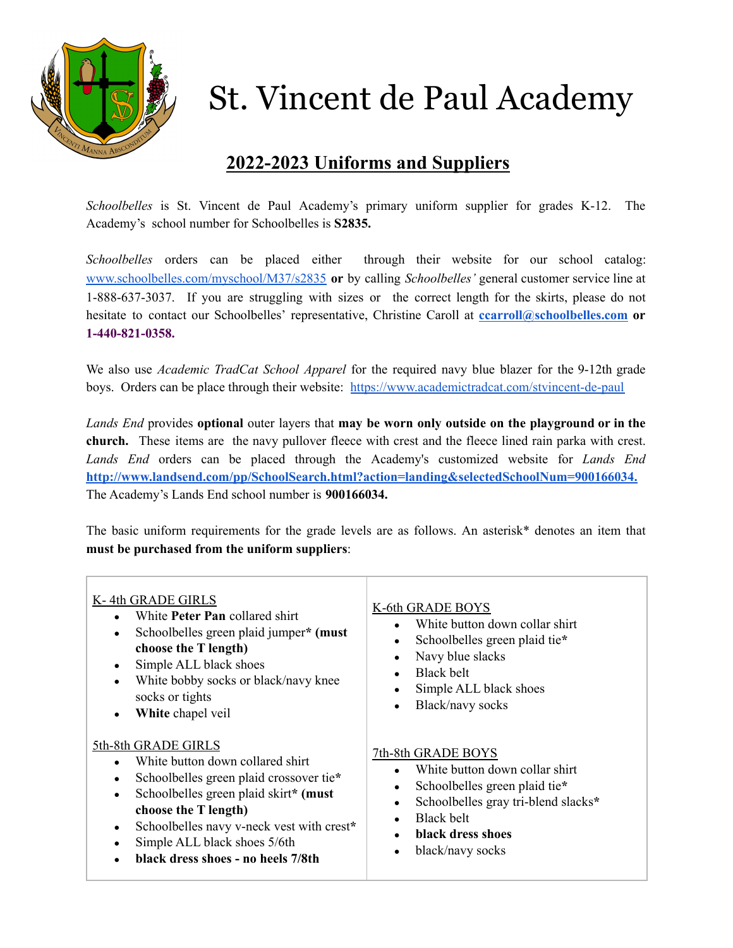

## St. Vincent de Paul Academy

## **2022-2023 Uniforms and Suppliers**

*Schoolbelles* is St. Vincent de Paul Academy's primary uniform supplier for grades K-12. The Academy's school number for Schoolbelles is **S2835.**

*Schoolbelles* orders can be placed either through their website for our school catalog: [www.schoolbelles.com/myschool/M37/s2835](http://www.schoolbelles.com/myschool/M37/s2835) **or** by calling *Schoolbelles'* general customer service line at 1-888-637-3037. If you are struggling with sizes or the correct length for the skirts, please do not hesitate to contact our Schoolbelles' representative, Christine Caroll at **[ccarroll@schoolbelles.com](mailto:ccarroll@schoolbelles.com) or 1-440-821-0358.**

We also use *Academic TradCat School Apparel* for the required navy blue blazer for the 9-12th grade boys. Orders can be place through their website: <https://www.academictradcat.com/stvincent-de-paul>

*Lands End* provides **optional** outer layers that **may be worn only outside on the playground or in the church.** These items are the navy pullover fleece with crest and the fleece lined rain parka with crest. *Lands End* orders can be placed through the Academy's customized website for *Lands End* **[http://www.landsend.com/pp/SchoolSearch.html?action=landing&selectedSchoolNum=900166034.](http://www.landsend.com/pp/SchoolSearch.html?action=landing&selectedSchoolNum=900166034)** The Academy's Lands End school number is **900166034.**

The basic uniform requirements for the grade levels are as follows. An asterisk\* denotes an item that **must be purchased from the uniform suppliers**:

| K-4th GRADE GIRLS<br>White <b>Peter Pan</b> collared shirt<br>Schoolbelles green plaid jumper* (must<br>choose the T length)<br>Simple ALL black shoes<br>White bobby socks or black/navy knee<br>socks or tights<br>White chapel veil                                                              | K-6th GRADE BOYS<br>White button down collar shirt<br>Schoolbelles green plaid tie*<br>$\bullet$<br>Navy blue slacks<br>$\bullet$<br>Black belt<br>$\bullet$<br>Simple ALL black shoes<br>$\bullet$<br>Black/navy socks<br>$\bullet$                 |
|-----------------------------------------------------------------------------------------------------------------------------------------------------------------------------------------------------------------------------------------------------------------------------------------------------|------------------------------------------------------------------------------------------------------------------------------------------------------------------------------------------------------------------------------------------------------|
| 5th-8th GRADE GIRLS<br>White button down collared shirt<br>Schoolbelles green plaid crossover tie*<br>Schoolbelles green plaid skirt* (must<br>$\bullet$<br>choose the T length)<br>Schoolbelles navy v-neck vest with crest*<br>Simple ALL black shoes 5/6th<br>black dress shoes - no heels 7/8th | 7th-8th GRADE BOYS<br>White button down collar shirt<br>Schoolbelles green plaid tie*<br>$\bullet$<br>Schoolbelles gray tri-blend slacks*<br>$\bullet$<br>Black belt<br>$\bullet$<br>black dress shoes<br>$\bullet$<br>black/navy socks<br>$\bullet$ |